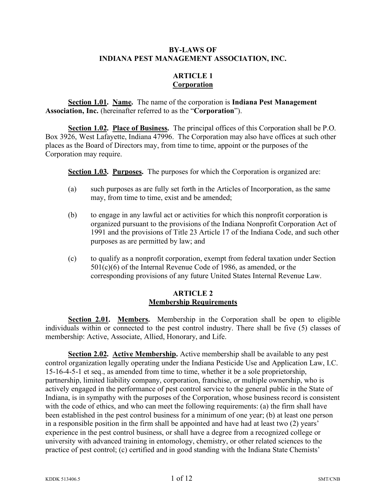#### **BY-LAWS OF INDIANA PEST MANAGEMENT ASSOCIATION, INC.**

#### **ARTICLE 1 Corporation**

**Section 1.01. Name.** The name of the corporation is **Indiana Pest Management Association, Inc.** (hereinafter referred to as the "**Corporation**").

**Section 1.02. Place of Business.** The principal offices of this Corporation shall be P.O. Box 3926, West Lafayette, Indiana 47996. The Corporation may also have offices at such other places as the Board of Directors may, from time to time, appoint or the purposes of the Corporation may require.

**Section 1.03. Purposes.** The purposes for which the Corporation is organized are:

- (a) such purposes as are fully set forth in the Articles of Incorporation, as the same may, from time to time, exist and be amended;
- (b) to engage in any lawful act or activities for which this nonprofit corporation is organized pursuant to the provisions of the Indiana Nonprofit Corporation Act of 1991 and the provisions of Title 23 Article 17 of the Indiana Code, and such other purposes as are permitted by law; and
- (c) to qualify as a nonprofit corporation, exempt from federal taxation under Section 501(c)(6) of the Internal Revenue Code of 1986, as amended, or the corresponding provisions of any future United States Internal Revenue Law.

#### **ARTICLE 2 Membership Requirements**

**Section 2.01. Members.** Membership in the Corporation shall be open to eligible individuals within or connected to the pest control industry. There shall be five (5) classes of membership: Active, Associate, Allied, Honorary, and Life.

**Section 2.02. Active Membership.** Active membership shall be available to any pest control organization legally operating under the Indiana Pesticide Use and Application Law, I.C. 15-16-4-5-1 et seq., as amended from time to time, whether it be a sole proprietorship, partnership, limited liability company, corporation, franchise, or multiple ownership, who is actively engaged in the performance of pest control service to the general public in the State of Indiana, is in sympathy with the purposes of the Corporation, whose business record is consistent with the code of ethics, and who can meet the following requirements: (a) the firm shall have been established in the pest control business for a minimum of one year; (b) at least one person in a responsible position in the firm shall be appointed and have had at least two (2) years' experience in the pest control business, or shall have a degree from a recognized college or university with advanced training in entomology, chemistry, or other related sciences to the practice of pest control; (c) certified and in good standing with the Indiana State Chemists'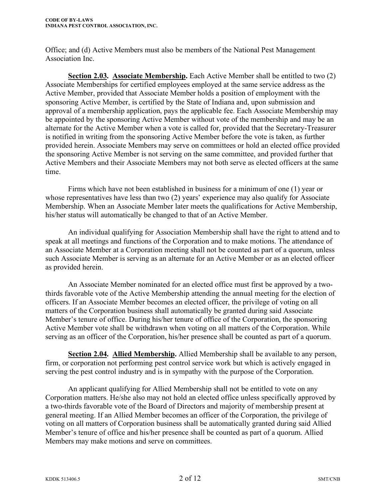Office; and (d) Active Members must also be members of the National Pest Management Association Inc.

**Section 2.03. Associate Membership.** Each Active Member shall be entitled to two (2) Associate Memberships for certified employees employed at the same service address as the Active Member, provided that Associate Member holds a position of employment with the sponsoring Active Member, is certified by the State of Indiana and, upon submission and approval of a membership application, pays the applicable fee. Each Associate Membership may be appointed by the sponsoring Active Member without vote of the membership and may be an alternate for the Active Member when a vote is called for, provided that the Secretary-Treasurer is notified in writing from the sponsoring Active Member before the vote is taken, as further provided herein. Associate Members may serve on committees or hold an elected office provided the sponsoring Active Member is not serving on the same committee, and provided further that Active Members and their Associate Members may not both serve as elected officers at the same time.

Firms which have not been established in business for a minimum of one (1) year or whose representatives have less than two (2) years' experience may also qualify for Associate Membership. When an Associate Member later meets the qualifications for Active Membership, his/her status will automatically be changed to that of an Active Member.

An individual qualifying for Association Membership shall have the right to attend and to speak at all meetings and functions of the Corporation and to make motions. The attendance of an Associate Member at a Corporation meeting shall not be counted as part of a quorum, unless such Associate Member is serving as an alternate for an Active Member or as an elected officer as provided herein.

An Associate Member nominated for an elected office must first be approved by a twothirds favorable vote of the Active Membership attending the annual meeting for the election of officers. If an Associate Member becomes an elected officer, the privilege of voting on all matters of the Corporation business shall automatically be granted during said Associate Member's tenure of office. During his/her tenure of office of the Corporation, the sponsoring Active Member vote shall be withdrawn when voting on all matters of the Corporation. While serving as an officer of the Corporation, his/her presence shall be counted as part of a quorum.

**Section 2.04. Allied Membership.** Allied Membership shall be available to any person, firm, or corporation not performing pest control service work but which is actively engaged in serving the pest control industry and is in sympathy with the purpose of the Corporation.

An applicant qualifying for Allied Membership shall not be entitled to vote on any Corporation matters. He/she also may not hold an elected office unless specifically approved by a two-thirds favorable vote of the Board of Directors and majority of membership present at general meeting. If an Allied Member becomes an officer of the Corporation, the privilege of voting on all matters of Corporation business shall be automatically granted during said Allied Member's tenure of office and his/her presence shall be counted as part of a quorum. Allied Members may make motions and serve on committees.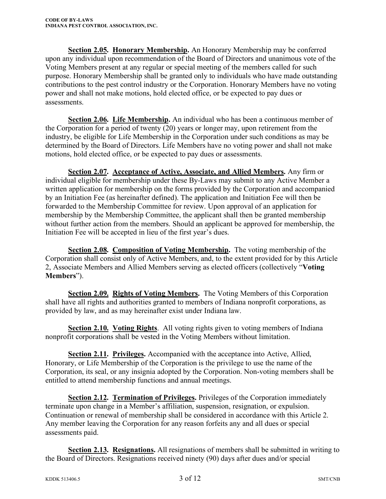**Section 2.05. Honorary Membership.** An Honorary Membership may be conferred upon any individual upon recommendation of the Board of Directors and unanimous vote of the Voting Members present at any regular or special meeting of the members called for such purpose. Honorary Membership shall be granted only to individuals who have made outstanding contributions to the pest control industry or the Corporation. Honorary Members have no voting power and shall not make motions, hold elected office, or be expected to pay dues or assessments.

**Section 2.06. Life Membership.** An individual who has been a continuous member of the Corporation for a period of twenty (20) years or longer may, upon retirement from the industry, be eligible for Life Membership in the Corporation under such conditions as may be determined by the Board of Directors. Life Members have no voting power and shall not make motions, hold elected office, or be expected to pay dues or assessments.

**Section 2.07. Acceptance of Active, Associate, and Allied Members.** Any firm or individual eligible for membership under these By-Laws may submit to any Active Member a written application for membership on the forms provided by the Corporation and accompanied by an Initiation Fee (as hereinafter defined). The application and Initiation Fee will then be forwarded to the Membership Committee for review. Upon approval of an application for membership by the Membership Committee, the applicant shall then be granted membership without further action from the members. Should an applicant be approved for membership, the Initiation Fee will be accepted in lieu of the first year's dues.

**Section 2.08. Composition of Voting Membership.** The voting membership of the Corporation shall consist only of Active Members, and, to the extent provided for by this Article 2, Associate Members and Allied Members serving as elected officers (collectively "**Voting Members**").

**Section 2.09. Rights of Voting Members.** The Voting Members of this Corporation shall have all rights and authorities granted to members of Indiana nonprofit corporations, as provided by law, and as may hereinafter exist under Indiana law.

**Section 2.10. Voting Rights**. All voting rights given to voting members of Indiana nonprofit corporations shall be vested in the Voting Members without limitation.

**Section 2.11. Privileges.** Accompanied with the acceptance into Active, Allied, Honorary, or Life Membership of the Corporation is the privilege to use the name of the Corporation, its seal, or any insignia adopted by the Corporation. Non-voting members shall be entitled to attend membership functions and annual meetings.

**Section 2.12. Termination of Privileges.** Privileges of the Corporation immediately terminate upon change in a Member's affiliation, suspension, resignation, or expulsion. Continuation or renewal of membership shall be considered in accordance with this Article 2. Any member leaving the Corporation for any reason forfeits any and all dues or special assessments paid.

**Section 2.13. Resignations.** All resignations of members shall be submitted in writing to the Board of Directors. Resignations received ninety (90) days after dues and/or special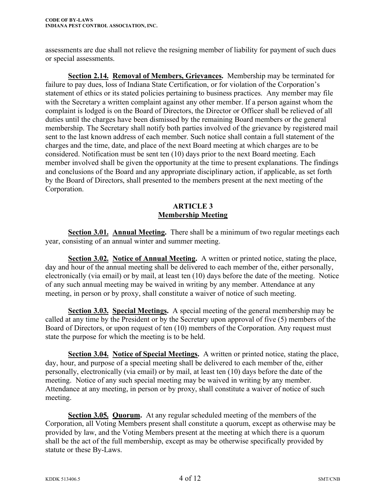assessments are due shall not relieve the resigning member of liability for payment of such dues or special assessments.

**Section 2.14. Removal of Members, Grievances.** Membership may be terminated for failure to pay dues, loss of Indiana State Certification, or for violation of the Corporation's statement of ethics or its stated policies pertaining to business practices. Any member may file with the Secretary a written complaint against any other member. If a person against whom the complaint is lodged is on the Board of Directors, the Director or Officer shall be relieved of all duties until the charges have been dismissed by the remaining Board members or the general membership. The Secretary shall notify both parties involved of the grievance by registered mail sent to the last known address of each member. Such notice shall contain a full statement of the charges and the time, date, and place of the next Board meeting at which charges are to be considered. Notification must be sent ten (10) days prior to the next Board meeting. Each member involved shall be given the opportunity at the time to present explanations. The findings and conclusions of the Board and any appropriate disciplinary action, if applicable, as set forth by the Board of Directors, shall presented to the members present at the next meeting of the Corporation.

# **ARTICLE 3 Membership Meeting**

**Section 3.01. Annual Meeting.** There shall be a minimum of two regular meetings each year, consisting of an annual winter and summer meeting.

**Section 3.02. Notice of Annual Meeting.** A written or printed notice, stating the place, day and hour of the annual meeting shall be delivered to each member of the, either personally, electronically (via email) or by mail, at least ten (10) days before the date of the meeting. Notice of any such annual meeting may be waived in writing by any member. Attendance at any meeting, in person or by proxy, shall constitute a waiver of notice of such meeting.

**Section 3.03. Special Meetings.** A special meeting of the general membership may be called at any time by the President or by the Secretary upon approval of five (5) members of the Board of Directors, or upon request of ten (10) members of the Corporation. Any request must state the purpose for which the meeting is to be held.

**Section 3.04. Notice of Special Meetings.** A written or printed notice, stating the place, day, hour, and purpose of a special meeting shall be delivered to each member of the, either personally, electronically (via email) or by mail, at least ten (10) days before the date of the meeting. Notice of any such special meeting may be waived in writing by any member. Attendance at any meeting, in person or by proxy, shall constitute a waiver of notice of such meeting.

**Section 3.05. Quorum.** At any regular scheduled meeting of the members of the Corporation, all Voting Members present shall constitute a quorum, except as otherwise may be provided by law, and the Voting Members present at the meeting at which there is a quorum shall be the act of the full membership, except as may be otherwise specifically provided by statute or these By-Laws.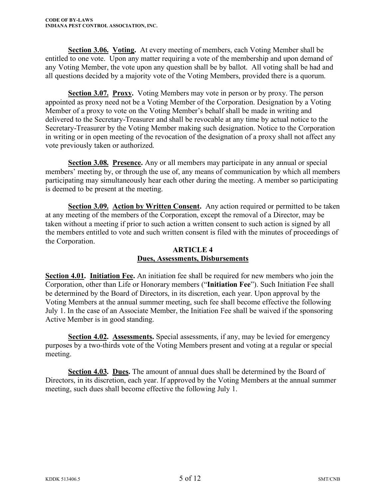**Section 3.06. Voting.** At every meeting of members, each Voting Member shall be entitled to one vote. Upon any matter requiring a vote of the membership and upon demand of any Voting Member, the vote upon any question shall be by ballot. All voting shall be had and all questions decided by a majority vote of the Voting Members, provided there is a quorum.

**Section 3.07. Proxy.** Voting Members may vote in person or by proxy. The person appointed as proxy need not be a Voting Member of the Corporation. Designation by a Voting Member of a proxy to vote on the Voting Member's behalf shall be made in writing and delivered to the Secretary-Treasurer and shall be revocable at any time by actual notice to the Secretary-Treasurer by the Voting Member making such designation. Notice to the Corporation in writing or in open meeting of the revocation of the designation of a proxy shall not affect any vote previously taken or authorized.

**Section 3.08. Presence.** Any or all members may participate in any annual or special members' meeting by, or through the use of, any means of communication by which all members participating may simultaneously hear each other during the meeting. A member so participating is deemed to be present at the meeting.

**Section 3.09. Action by Written Consent.** Any action required or permitted to be taken at any meeting of the members of the Corporation, except the removal of a Director, may be taken without a meeting if prior to such action a written consent to such action is signed by all the members entitled to vote and such written consent is filed with the minutes of proceedings of the Corporation.

## **ARTICLE 4 Dues, Assessments, Disbursements**

**Section 4.01. Initiation Fee.** An initiation fee shall be required for new members who join the Corporation, other than Life or Honorary members ("**Initiation Fee**"). Such Initiation Fee shall be determined by the Board of Directors, in its discretion, each year. Upon approval by the Voting Members at the annual summer meeting, such fee shall become effective the following July 1. In the case of an Associate Member, the Initiation Fee shall be waived if the sponsoring Active Member is in good standing.

**Section 4.02. Assessments.** Special assessments, if any, may be levied for emergency purposes by a two-thirds vote of the Voting Members present and voting at a regular or special meeting.

**Section 4.03. Dues.** The amount of annual dues shall be determined by the Board of Directors, in its discretion, each year. If approved by the Voting Members at the annual summer meeting, such dues shall become effective the following July 1.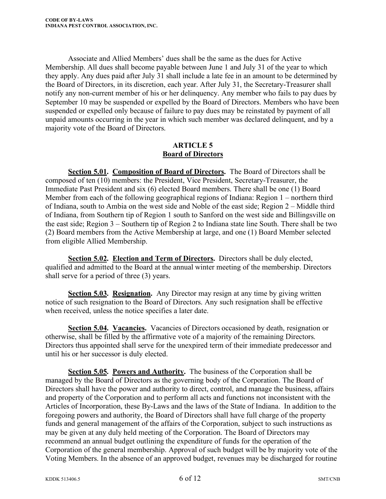Associate and Allied Members' dues shall be the same as the dues for Active Membership. All dues shall become payable between June 1 and July 31 of the year to which they apply. Any dues paid after July 31 shall include a late fee in an amount to be determined by the Board of Directors, in its discretion, each year. After July 31, the Secretary-Treasurer shall notify any non-current member of his or her delinquency. Any member who fails to pay dues by September 10 may be suspended or expelled by the Board of Directors. Members who have been suspended or expelled only because of failure to pay dues may be reinstated by payment of all unpaid amounts occurring in the year in which such member was declared delinquent, and by a majority vote of the Board of Directors.

## **ARTICLE 5 Board of Directors**

**Section 5.01. Composition of Board of Directors.** The Board of Directors shall be composed of ten (10) members: the President, Vice President, Secretary-Treasurer, the Immediate Past President and six (6) elected Board members. There shall be one (1) Board Member from each of the following geographical regions of Indiana: Region 1 – northern third of Indiana, south to Ambia on the west side and Noble of the east side; Region 2 – Middle third of Indiana, from Southern tip of Region 1 south to Sanford on the west side and Billingsville on the east side; Region 3 – Southern tip of Region 2 to Indiana state line South. There shall be two (2) Board members from the Active Membership at large, and one (1) Board Member selected from eligible Allied Membership.

**Section 5.02. Election and Term of Directors.** Directors shall be duly elected, qualified and admitted to the Board at the annual winter meeting of the membership. Directors shall serve for a period of three (3) years.

**Section 5.03. Resignation.** Any Director may resign at any time by giving written notice of such resignation to the Board of Directors. Any such resignation shall be effective when received, unless the notice specifies a later date.

**Section 5.04. Vacancies.** Vacancies of Directors occasioned by death, resignation or otherwise, shall be filled by the affirmative vote of a majority of the remaining Directors. Directors thus appointed shall serve for the unexpired term of their immediate predecessor and until his or her successor is duly elected.

**Section 5.05. Powers and Authority.** The business of the Corporation shall be managed by the Board of Directors as the governing body of the Corporation. The Board of Directors shall have the power and authority to direct, control, and manage the business, affairs and property of the Corporation and to perform all acts and functions not inconsistent with the Articles of Incorporation, these By-Laws and the laws of the State of Indiana. In addition to the foregoing powers and authority, the Board of Directors shall have full charge of the property funds and general management of the affairs of the Corporation, subject to such instructions as may be given at any duly held meeting of the Corporation. The Board of Directors may recommend an annual budget outlining the expenditure of funds for the operation of the Corporation of the general membership. Approval of such budget will be by majority vote of the Voting Members. In the absence of an approved budget, revenues may be discharged for routine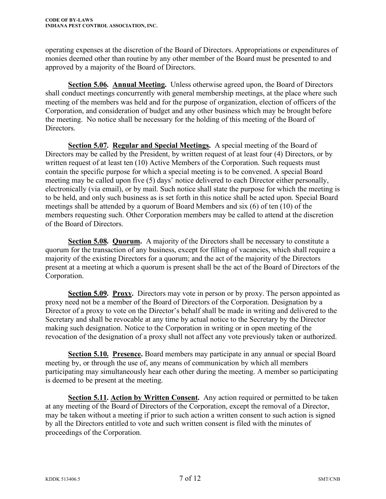operating expenses at the discretion of the Board of Directors. Appropriations or expenditures of monies deemed other than routine by any other member of the Board must be presented to and approved by a majority of the Board of Directors.

**Section 5.06. Annual Meeting.** Unless otherwise agreed upon, the Board of Directors shall conduct meetings concurrently with general membership meetings, at the place where such meeting of the members was held and for the purpose of organization, election of officers of the Corporation, and consideration of budget and any other business which may be brought before the meeting. No notice shall be necessary for the holding of this meeting of the Board of Directors.

**Section 5.07. Regular and Special Meetings.** A special meeting of the Board of Directors may be called by the President, by written request of at least four (4) Directors, or by written request of at least ten (10) Active Members of the Corporation. Such requests must contain the specific purpose for which a special meeting is to be convened. A special Board meeting may be called upon five (5) days' notice delivered to each Director either personally, electronically (via email), or by mail. Such notice shall state the purpose for which the meeting is to be held, and only such business as is set forth in this notice shall be acted upon. Special Board meetings shall be attended by a quorum of Board Members and six (6) of ten (10) of the members requesting such. Other Corporation members may be called to attend at the discretion of the Board of Directors.

**Section 5.08. Quorum.** A majority of the Directors shall be necessary to constitute a quorum for the transaction of any business, except for filling of vacancies, which shall require a majority of the existing Directors for a quorum; and the act of the majority of the Directors present at a meeting at which a quorum is present shall be the act of the Board of Directors of the Corporation.

**Section 5.09. Proxy.** Directors may vote in person or by proxy. The person appointed as proxy need not be a member of the Board of Directors of the Corporation. Designation by a Director of a proxy to vote on the Director's behalf shall be made in writing and delivered to the Secretary and shall be revocable at any time by actual notice to the Secretary by the Director making such designation. Notice to the Corporation in writing or in open meeting of the revocation of the designation of a proxy shall not affect any vote previously taken or authorized.

**Section 5.10. Presence.** Board members may participate in any annual or special Board meeting by, or through the use of, any means of communication by which all members participating may simultaneously hear each other during the meeting. A member so participating is deemed to be present at the meeting.

**Section 5.11. Action by Written Consent.** Any action required or permitted to be taken at any meeting of the Board of Directors of the Corporation, except the removal of a Director, may be taken without a meeting if prior to such action a written consent to such action is signed by all the Directors entitled to vote and such written consent is filed with the minutes of proceedings of the Corporation.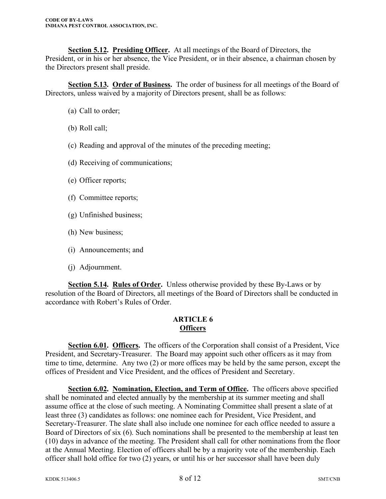**Section 5.12. Presiding Officer.** At all meetings of the Board of Directors, the President, or in his or her absence, the Vice President, or in their absence, a chairman chosen by the Directors present shall preside.

**Section 5.13. Order of Business.** The order of business for all meetings of the Board of Directors, unless waived by a majority of Directors present, shall be as follows:

- (a) Call to order;
- (b) Roll call;
- (c) Reading and approval of the minutes of the preceding meeting;
- (d) Receiving of communications;
- (e) Officer reports;
- (f) Committee reports;
- (g) Unfinished business;
- (h) New business;
- (i) Announcements; and
- (j) Adjournment.

**Section 5.14. Rules of Order.** Unless otherwise provided by these By-Laws or by resolution of the Board of Directors, all meetings of the Board of Directors shall be conducted in accordance with Robert's Rules of Order.

#### **ARTICLE 6 Officers**

**Section 6.01. Officers.** The officers of the Corporation shall consist of a President, Vice President, and Secretary-Treasurer. The Board may appoint such other officers as it may from time to time, determine. Any two (2) or more offices may be held by the same person, except the offices of President and Vice President, and the offices of President and Secretary.

**Section 6.02. Nomination, Election, and Term of Office.** The officers above specified shall be nominated and elected annually by the membership at its summer meeting and shall assume office at the close of such meeting. A Nominating Committee shall present a slate of at least three (3) candidates as follows: one nominee each for President, Vice President, and Secretary-Treasurer. The slate shall also include one nominee for each office needed to assure a Board of Directors of six (6). Such nominations shall be presented to the membership at least ten (10) days in advance of the meeting. The President shall call for other nominations from the floor at the Annual Meeting. Election of officers shall be by a majority vote of the membership. Each officer shall hold office for two (2) years, or until his or her successor shall have been duly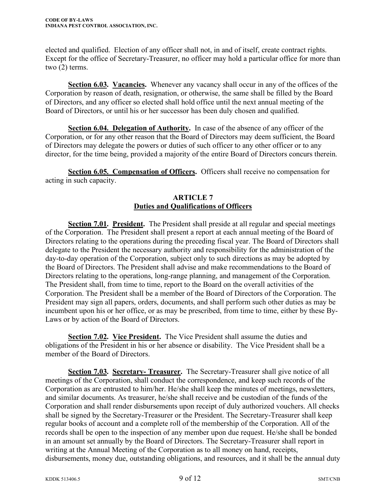elected and qualified. Election of any officer shall not, in and of itself, create contract rights. Except for the office of Secretary-Treasurer, no officer may hold a particular office for more than two (2) terms.

**Section 6.03. Vacancies.** Whenever any vacancy shall occur in any of the offices of the Corporation by reason of death, resignation, or otherwise, the same shall be filled by the Board of Directors, and any officer so elected shall hold office until the next annual meeting of the Board of Directors, or until his or her successor has been duly chosen and qualified.

**Section 6.04. Delegation of Authority.** In case of the absence of any officer of the Corporation, or for any other reason that the Board of Directors may deem sufficient, the Board of Directors may delegate the powers or duties of such officer to any other officer or to any director, for the time being, provided a majority of the entire Board of Directors concurs therein.

**Section 6.05. Compensation of Officers.** Officers shall receive no compensation for acting in such capacity.

## **ARTICLE 7 Duties and Qualifications of Officers**

**Section 7.01. President.** The President shall preside at all regular and special meetings of the Corporation. The President shall present a report at each annual meeting of the Board of Directors relating to the operations during the preceding fiscal year. The Board of Directors shall delegate to the President the necessary authority and responsibility for the administration of the day-to-day operation of the Corporation, subject only to such directions as may be adopted by the Board of Directors. The President shall advise and make recommendations to the Board of Directors relating to the operations, long-range planning, and management of the Corporation. The President shall, from time to time, report to the Board on the overall activities of the Corporation. The President shall be a member of the Board of Directors of the Corporation. The President may sign all papers, orders, documents, and shall perform such other duties as may be incumbent upon his or her office, or as may be prescribed, from time to time, either by these By-Laws or by action of the Board of Directors.

**Section 7.02. Vice President.** The Vice President shall assume the duties and obligations of the President in his or her absence or disability. The Vice President shall be a member of the Board of Directors.

**Section 7.03. Secretary- Treasurer.** The Secretary-Treasurer shall give notice of all meetings of the Corporation, shall conduct the correspondence, and keep such records of the Corporation as are entrusted to him/her. He/she shall keep the minutes of meetings, newsletters, and similar documents. As treasurer, he/she shall receive and be custodian of the funds of the Corporation and shall render disbursements upon receipt of duly authorized vouchers. All checks shall be signed by the Secretary-Treasurer or the President. The Secretary-Treasurer shall keep regular books of account and a complete roll of the membership of the Corporation. All of the records shall be open to the inspection of any member upon due request. He/she shall be bonded in an amount set annually by the Board of Directors. The Secretary-Treasurer shall report in writing at the Annual Meeting of the Corporation as to all money on hand, receipts, disbursements, money due, outstanding obligations, and resources, and it shall be the annual duty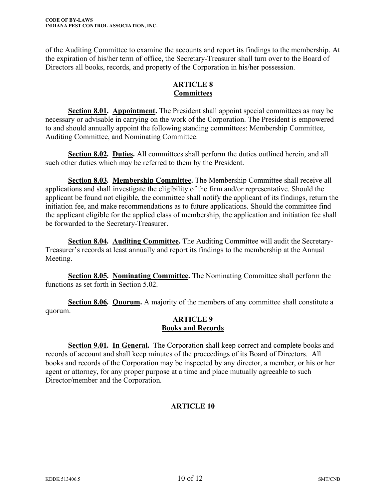of the Auditing Committee to examine the accounts and report its findings to the membership. At the expiration of his/her term of office, the Secretary-Treasurer shall turn over to the Board of Directors all books, records, and property of the Corporation in his/her possession.

## **ARTICLE 8 Committees**

**Section 8.01. Appointment.** The President shall appoint special committees as may be necessary or advisable in carrying on the work of the Corporation. The President is empowered to and should annually appoint the following standing committees: Membership Committee, Auditing Committee, and Nominating Committee.

**Section 8.02. Duties.** All committees shall perform the duties outlined herein, and all such other duties which may be referred to them by the President.

**Section 8.03. Membership Committee.** The Membership Committee shall receive all applications and shall investigate the eligibility of the firm and/or representative. Should the applicant be found not eligible, the committee shall notify the applicant of its findings, return the initiation fee, and make recommendations as to future applications. Should the committee find the applicant eligible for the applied class of membership, the application and initiation fee shall be forwarded to the Secretary-Treasurer.

**Section 8.04. Auditing Committee.** The Auditing Committee will audit the Secretary-Treasurer's records at least annually and report its findings to the membership at the Annual Meeting.

**Section 8.05. Nominating Committee.** The Nominating Committee shall perform the functions as set forth in Section 5.02.

**Section 8.06. Quorum.** A majority of the members of any committee shall constitute a quorum.

## **ARTICLE 9 Books and Records**

**Section 9.01. In General.** The Corporation shall keep correct and complete books and records of account and shall keep minutes of the proceedings of its Board of Directors. All books and records of the Corporation may be inspected by any director, a member, or his or her agent or attorney, for any proper purpose at a time and place mutually agreeable to such Director/member and the Corporation.

# **ARTICLE 10**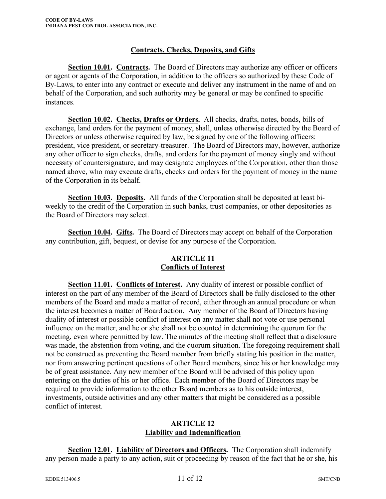## **Contracts, Checks, Deposits, and Gifts**

**Section 10.01. Contracts.** The Board of Directors may authorize any officer or officers or agent or agents of the Corporation, in addition to the officers so authorized by these Code of By-Laws, to enter into any contract or execute and deliver any instrument in the name of and on behalf of the Corporation, and such authority may be general or may be confined to specific instances.

**Section 10.02. Checks, Drafts or Orders.** All checks, drafts, notes, bonds, bills of exchange, land orders for the payment of money, shall, unless otherwise directed by the Board of Directors or unless otherwise required by law, be signed by one of the following officers: president, vice president, or secretary-treasurer. The Board of Directors may, however, authorize any other officer to sign checks, drafts, and orders for the payment of money singly and without necessity of countersignature, and may designate employees of the Corporation, other than those named above, who may execute drafts, checks and orders for the payment of money in the name of the Corporation in its behalf.

**Section 10.03. Deposits.** All funds of the Corporation shall be deposited at least biweekly to the credit of the Corporation in such banks, trust companies, or other depositories as the Board of Directors may select.

**Section 10.04. Gifts.** The Board of Directors may accept on behalf of the Corporation any contribution, gift, bequest, or devise for any purpose of the Corporation.

## **ARTICLE 11 Conflicts of Interest**

Section 11.01. Conflicts of Interest. Any duality of interest or possible conflict of interest on the part of any member of the Board of Directors shall be fully disclosed to the other members of the Board and made a matter of record, either through an annual procedure or when the interest becomes a matter of Board action. Any member of the Board of Directors having duality of interest or possible conflict of interest on any matter shall not vote or use personal influence on the matter, and he or she shall not be counted in determining the quorum for the meeting, even where permitted by law. The minutes of the meeting shall reflect that a disclosure was made, the abstention from voting, and the quorum situation. The foregoing requirement shall not be construed as preventing the Board member from briefly stating his position in the matter, nor from answering pertinent questions of other Board members, since his or her knowledge may be of great assistance. Any new member of the Board will be advised of this policy upon entering on the duties of his or her office. Each member of the Board of Directors may be required to provide information to the other Board members as to his outside interest, investments, outside activities and any other matters that might be considered as a possible conflict of interest.

#### **ARTICLE 12 Liability and Indemnification**

**Section 12.01. Liability of Directors and Officers.** The Corporation shall indemnify any person made a party to any action, suit or proceeding by reason of the fact that he or she, his